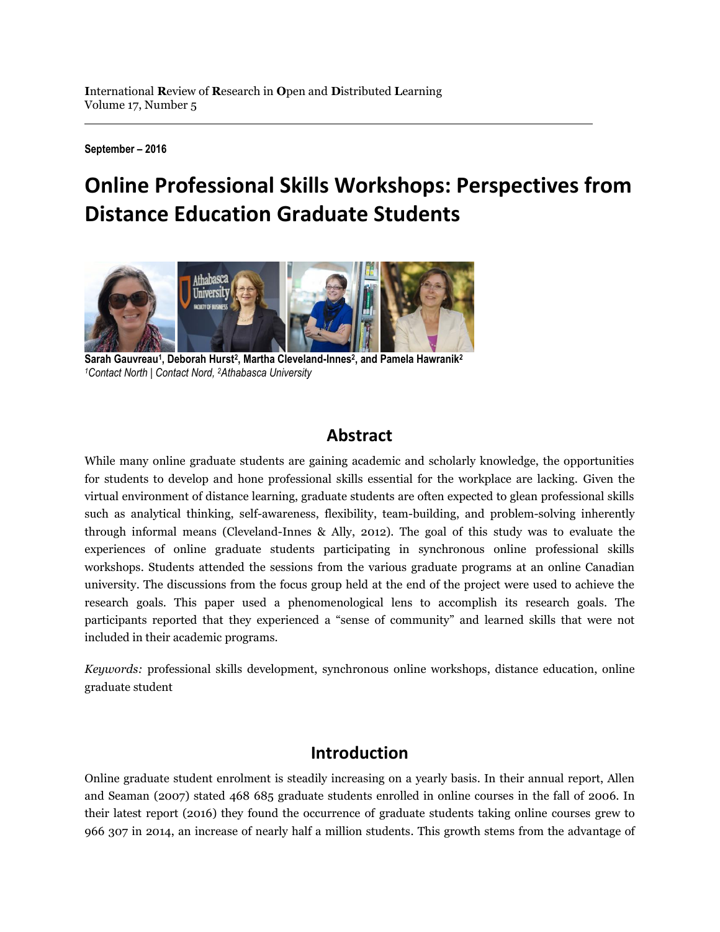**September – 2016**

# **Online Professional Skills Workshops: Perspectives from Distance Education Graduate Students**



**Sarah Gauvreau<sup>1</sup> , Deborah Hurst<sup>2</sup> , Martha Cleveland-Innes<sup>2</sup> , and Pamela Hawranik<sup>2</sup>** *<sup>1</sup>Contact North | Contact Nord, <sup>2</sup>Athabasca University*

## **Abstract**

While many online graduate students are gaining academic and scholarly knowledge, the opportunities for students to develop and hone professional skills essential for the workplace are lacking. Given the virtual environment of distance learning, graduate students are often expected to glean professional skills such as analytical thinking, self-awareness, flexibility, team-building, and problem-solving inherently through informal means (Cleveland-Innes & Ally, 2012). The goal of this study was to evaluate the experiences of online graduate students participating in synchronous online professional skills workshops. Students attended the sessions from the various graduate programs at an online Canadian university. The discussions from the focus group held at the end of the project were used to achieve the research goals. This paper used a phenomenological lens to accomplish its research goals. The participants reported that they experienced a "sense of community" and learned skills that were not included in their academic programs.

*Keywords:* professional skills development, synchronous online workshops, distance education, online graduate student

## **Introduction**

Online graduate student enrolment is steadily increasing on a yearly basis. In their annual report, Allen and Seaman (2007) stated 468 685 graduate students enrolled in online courses in the fall of 2006. In their latest report (2016) they found the occurrence of graduate students taking online courses grew to 966 307 in 2014, an increase of nearly half a million students. This growth stems from the advantage of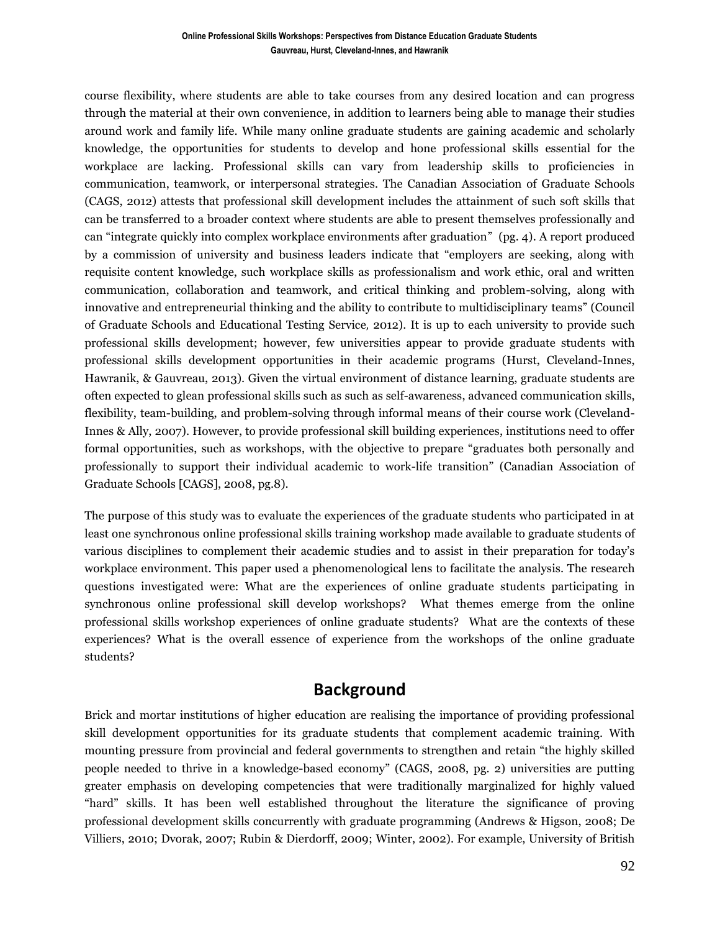course flexibility, where students are able to take courses from any desired location and can progress through the material at their own convenience, in addition to learners being able to manage their studies around work and family life. While many online graduate students are gaining academic and scholarly knowledge, the opportunities for students to develop and hone professional skills essential for the workplace are lacking. Professional skills can vary from leadership skills to proficiencies in communication, teamwork, or interpersonal strategies. The Canadian Association of Graduate Schools (CAGS, 2012) attests that professional skill development includes the attainment of such soft skills that can be transferred to a broader context where students are able to present themselves professionally and can "integrate quickly into complex workplace environments after graduation" (pg. 4). A report produced by a commission of university and business leaders indicate that "employers are seeking, along with requisite content knowledge, such workplace skills as professionalism and work ethic, oral and written communication, collaboration and teamwork, and critical thinking and problem-solving, along with innovative and entrepreneurial thinking and the ability to contribute to multidisciplinary teams" (Council of Graduate Schools and Educational Testing Service, 2012). It is up to each university to provide such professional skills development; however, few universities appear to provide graduate students with professional skills development opportunities in their academic programs (Hurst, Cleveland-Innes, Hawranik, & Gauvreau, 2013). Given the virtual environment of distance learning, graduate students are often expected to glean professional skills such as such as self-awareness, advanced communication skills, flexibility, team-building, and problem-solving through informal means of their course work (Cleveland-Innes & Ally, 2007). However, to provide professional skill building experiences, institutions need to offer formal opportunities, such as workshops, with the objective to prepare "graduates both personally and professionally to support their individual academic to work-life transition" (Canadian Association of Graduate Schools [CAGS], 2008, pg.8).

The purpose of this study was to evaluate the experiences of the graduate students who participated in at least one synchronous online professional skills training workshop made available to graduate students of various disciplines to complement their academic studies and to assist in their preparation for today's workplace environment. This paper used a phenomenological lens to facilitate the analysis. The research questions investigated were: What are the experiences of online graduate students participating in synchronous online professional skill develop workshops? What themes emerge from the online professional skills workshop experiences of online graduate students? What are the contexts of these experiences? What is the overall essence of experience from the workshops of the online graduate students?

## **Background**

Brick and mortar institutions of higher education are realising the importance of providing professional skill development opportunities for its graduate students that complement academic training. With mounting pressure from provincial and federal governments to strengthen and retain "the highly skilled people needed to thrive in a knowledge-based economy" (CAGS, 2008, pg. 2) universities are putting greater emphasis on developing competencies that were traditionally marginalized for highly valued "hard" skills. It has been well established throughout the literature the significance of proving professional development skills concurrently with graduate programming (Andrews & Higson, 2008; De Villiers, 2010; Dvorak, 2007; Rubin & Dierdorff, 2009; Winter, 2002). For example, University of British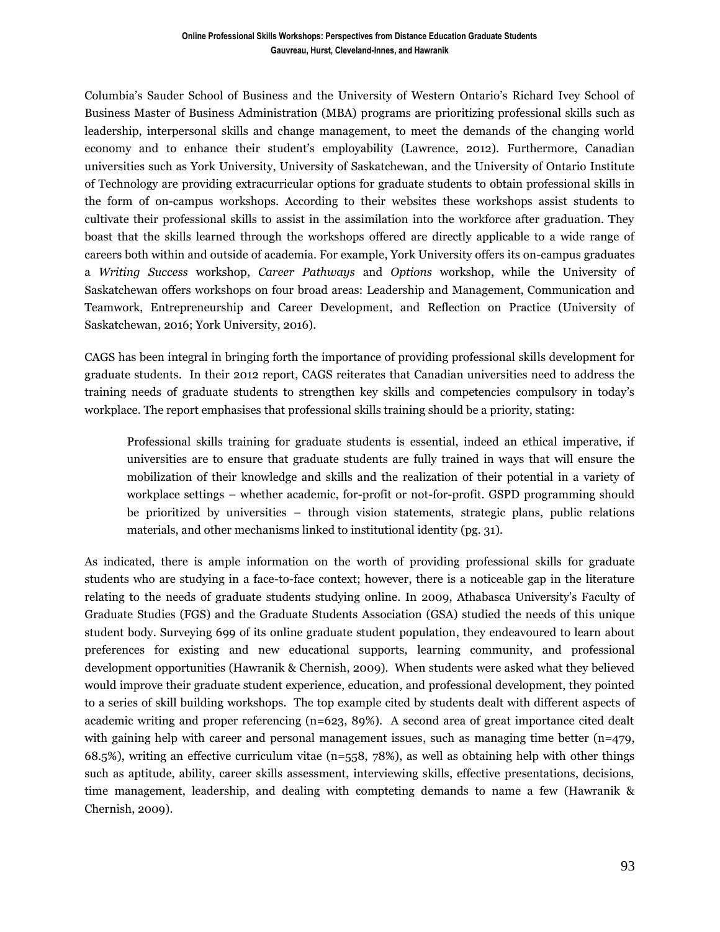Columbia's Sauder School of Business and the University of Western Ontario's Richard Ivey School of Business Master of Business Administration (MBA) programs are prioritizing professional skills such as leadership, interpersonal skills and change management, to meet the demands of the changing world economy and to enhance their student's employability (Lawrence, 2012). Furthermore, Canadian universities such as York University, University of Saskatchewan, and the University of Ontario Institute of Technology are providing extracurricular options for graduate students to obtain professional skills in the form of on-campus workshops. According to their websites these workshops assist students to cultivate their professional skills to assist in the assimilation into the workforce after graduation. They boast that the skills learned through the workshops offered are directly applicable to a wide range of careers both within and outside of academia. For example, York University offers its on-campus graduates a *Writing Success* workshop, *Career Pathways* and *Options* workshop, while the University of Saskatchewan offers workshops on four broad areas: Leadership and Management, Communication and Teamwork, Entrepreneurship and Career Development, and Reflection on Practice (University of Saskatchewan, 2016; York University, 2016).

CAGS has been integral in bringing forth the importance of providing professional skills development for graduate students. In their 2012 report, CAGS reiterates that Canadian universities need to address the training needs of graduate students to strengthen key skills and competencies compulsory in today's workplace. The report emphasises that professional skills training should be a priority, stating:

Professional skills training for graduate students is essential, indeed an ethical imperative, if universities are to ensure that graduate students are fully trained in ways that will ensure the mobilization of their knowledge and skills and the realization of their potential in a variety of workplace settings – whether academic, for-profit or not-for-profit. GSPD programming should be prioritized by universities – through vision statements, strategic plans, public relations materials, and other mechanisms linked to institutional identity (pg. 31).

As indicated, there is ample information on the worth of providing professional skills for graduate students who are studying in a face-to-face context; however, there is a noticeable gap in the literature relating to the needs of graduate students studying online. In 2009, Athabasca University's Faculty of Graduate Studies (FGS) and the Graduate Students Association (GSA) studied the needs of this unique student body. Surveying 699 of its online graduate student population, they endeavoured to learn about preferences for existing and new educational supports, learning community, and professional development opportunities (Hawranik & Chernish, 2009). When students were asked what they believed would improve their graduate student experience, education, and professional development, they pointed to a series of skill building workshops. The top example cited by students dealt with different aspects of academic writing and proper referencing (n=623, 89%). A second area of great importance cited dealt with gaining help with career and personal management issues, such as managing time better (n=479, 68.5%), writing an effective curriculum vitae (n=558, 78%), as well as obtaining help with other things such as aptitude, ability, career skills assessment, interviewing skills, effective presentations, decisions, time management, leadership, and dealing with compteting demands to name a few (Hawranik & Chernish, 2009).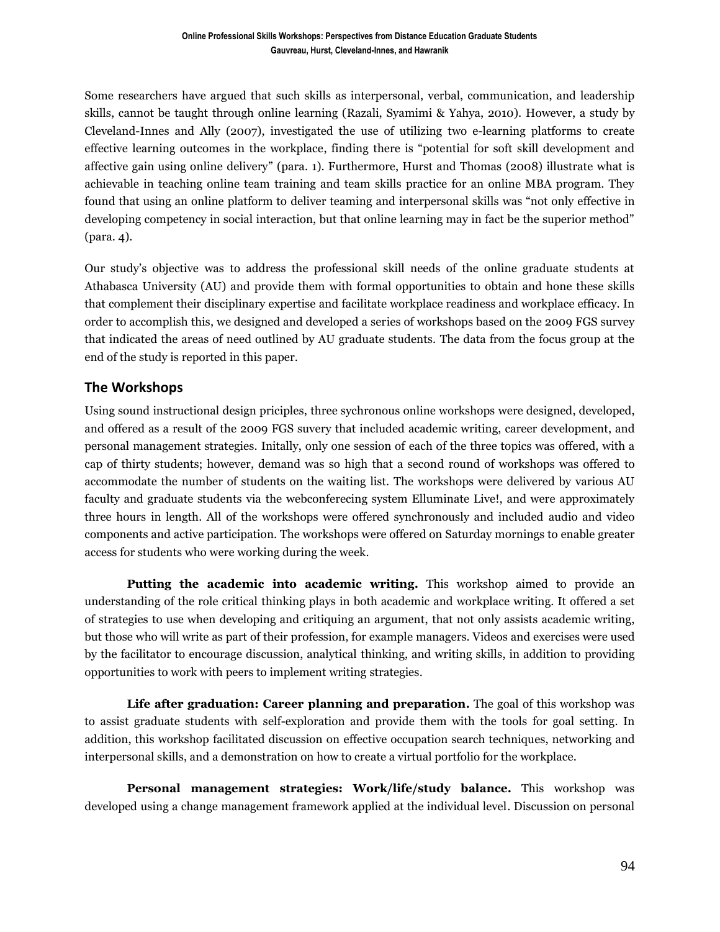Some researchers have argued that such skills as interpersonal, verbal, communication, and leadership skills, cannot be taught through online learning (Razali, Syamimi & Yahya, 2010). However, a study by Cleveland-Innes and Ally (2007), investigated the use of utilizing two e-learning platforms to create effective learning outcomes in the workplace, finding there is "potential for soft skill development and affective gain using online delivery" (para. 1). Furthermore, Hurst and Thomas (2008) illustrate what is achievable in teaching online team training and team skills practice for an online MBA program. They found that using an online platform to deliver teaming and interpersonal skills was "not only effective in developing competency in social interaction, but that online learning may in fact be the superior method" (para. 4).

Our study's objective was to address the professional skill needs of the online graduate students at Athabasca University (AU) and provide them with formal opportunities to obtain and hone these skills that complement their disciplinary expertise and facilitate workplace readiness and workplace efficacy. In order to accomplish this, we designed and developed a series of workshops based on the 2009 FGS survey that indicated the areas of need outlined by AU graduate students. The data from the focus group at the end of the study is reported in this paper.

### **The Workshops**

Using sound instructional design priciples, three sychronous online workshops were designed, developed, and offered as a result of the 2009 FGS suvery that included academic writing, career development, and personal management strategies. Initally, only one session of each of the three topics was offered, with a cap of thirty students; however, demand was so high that a second round of workshops was offered to accommodate the number of students on the waiting list. The workshops were delivered by various AU faculty and graduate students via the webconferecing system Elluminate Live!, and were approximately three hours in length. All of the workshops were offered synchronously and included audio and video components and active participation. The workshops were offered on Saturday mornings to enable greater access for students who were working during the week.

**Putting the academic into academic writing.** This workshop aimed to provide an understanding of the role critical thinking plays in both academic and workplace writing. It offered a set of strategies to use when developing and critiquing an argument, that not only assists academic writing, but those who will write as part of their profession, for example managers. Videos and exercises were used by the facilitator to encourage discussion, analytical thinking, and writing skills, in addition to providing opportunities to work with peers to implement writing strategies.

**Life after graduation: Career planning and preparation.** The goal of this workshop was to assist graduate students with self-exploration and provide them with the tools for goal setting. In addition, this workshop facilitated discussion on effective occupation search techniques, networking and interpersonal skills, and a demonstration on how to create a virtual portfolio for the workplace.

**Personal management strategies: Work/life/study balance.** This workshop was developed using a change management framework applied at the individual level. Discussion on personal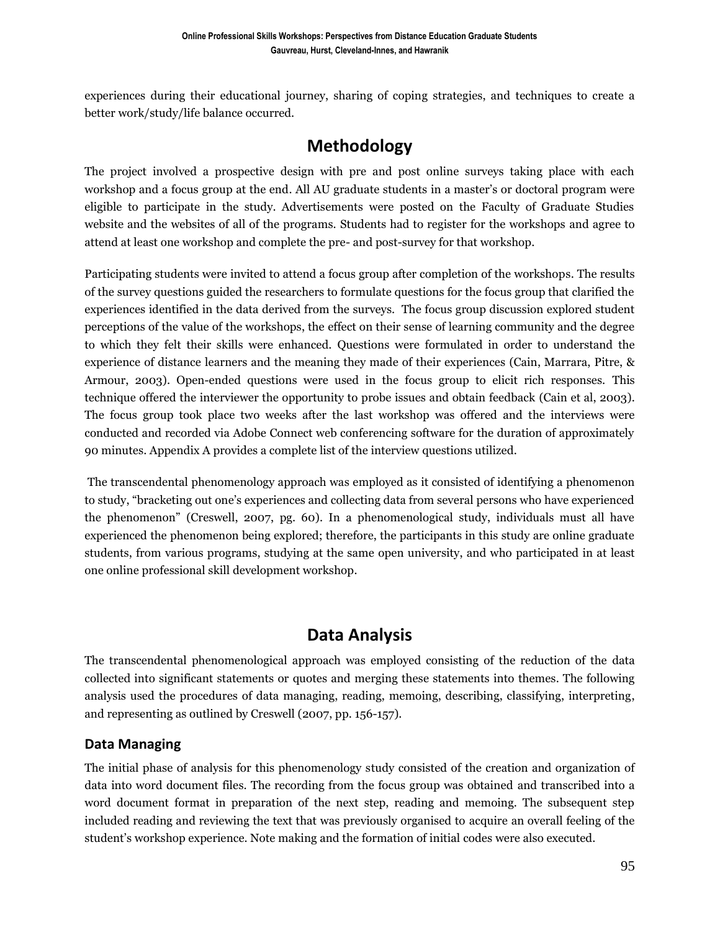experiences during their educational journey, sharing of coping strategies, and techniques to create a better work/study/life balance occurred.

## **Methodology**

The project involved a prospective design with pre and post online surveys taking place with each workshop and a focus group at the end. All AU graduate students in a master's or doctoral program were eligible to participate in the study. Advertisements were posted on the Faculty of Graduate Studies website and the websites of all of the programs. Students had to register for the workshops and agree to attend at least one workshop and complete the pre- and post-survey for that workshop.

Participating students were invited to attend a focus group after completion of the workshops. The results of the survey questions guided the researchers to formulate questions for the focus group that clarified the experiences identified in the data derived from the surveys. The focus group discussion explored student perceptions of the value of the workshops, the effect on their sense of learning community and the degree to which they felt their skills were enhanced. Questions were formulated in order to understand the experience of distance learners and the meaning they made of their experiences (Cain, Marrara, Pitre, & Armour, 2003). Open-ended questions were used in the focus group to elicit rich responses. This technique offered the interviewer the opportunity to probe issues and obtain feedback (Cain et al, 2003). The focus group took place two weeks after the last workshop was offered and the interviews were conducted and recorded via Adobe Connect web conferencing software for the duration of approximately 90 minutes. Appendix A provides a complete list of the interview questions utilized.

The transcendental phenomenology approach was employed as it consisted of identifying a phenomenon to study, "bracketing out one's experiences and collecting data from several persons who have experienced the phenomenon" (Creswell, 2007, pg. 60). In a phenomenological study, individuals must all have experienced the phenomenon being explored; therefore, the participants in this study are online graduate students, from various programs, studying at the same open university, and who participated in at least one online professional skill development workshop.

## **Data Analysis**

The transcendental phenomenological approach was employed consisting of the reduction of the data collected into significant statements or quotes and merging these statements into themes. The following analysis used the procedures of data managing, reading, memoing, describing, classifying, interpreting, and representing as outlined by Creswell (2007, pp. 156-157).

### **Data Managing**

The initial phase of analysis for this phenomenology study consisted of the creation and organization of data into word document files. The recording from the focus group was obtained and transcribed into a word document format in preparation of the next step, reading and memoing. The subsequent step included reading and reviewing the text that was previously organised to acquire an overall feeling of the student's workshop experience. Note making and the formation of initial codes were also executed.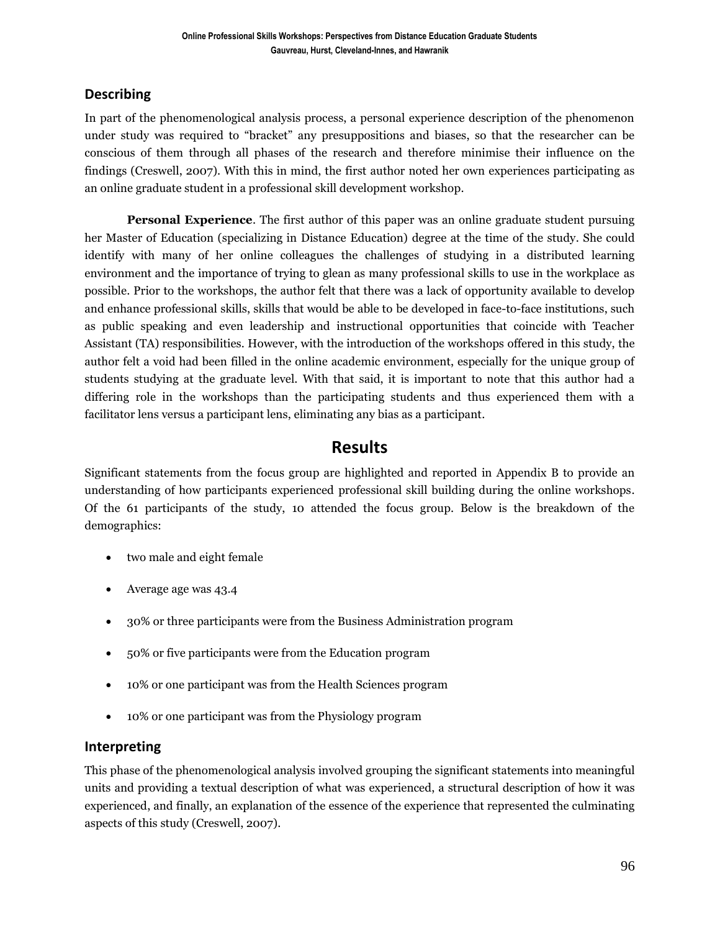#### **Describing**

In part of the phenomenological analysis process, a personal experience description of the phenomenon under study was required to "bracket" any presuppositions and biases, so that the researcher can be conscious of them through all phases of the research and therefore minimise their influence on the findings (Creswell, 2007). With this in mind, the first author noted her own experiences participating as an online graduate student in a professional skill development workshop.

**Personal Experience**. The first author of this paper was an online graduate student pursuing her Master of Education (specializing in Distance Education) degree at the time of the study. She could identify with many of her online colleagues the challenges of studying in a distributed learning environment and the importance of trying to glean as many professional skills to use in the workplace as possible. Prior to the workshops, the author felt that there was a lack of opportunity available to develop and enhance professional skills, skills that would be able to be developed in face-to-face institutions, such as public speaking and even leadership and instructional opportunities that coincide with Teacher Assistant (TA) responsibilities. However, with the introduction of the workshops offered in this study, the author felt a void had been filled in the online academic environment, especially for the unique group of students studying at the graduate level. With that said, it is important to note that this author had a differing role in the workshops than the participating students and thus experienced them with a facilitator lens versus a participant lens, eliminating any bias as a participant.

## **Results**

Significant statements from the focus group are highlighted and reported in Appendix B to provide an understanding of how participants experienced professional skill building during the online workshops. Of the 61 participants of the study, 10 attended the focus group. Below is the breakdown of the demographics:

- two male and eight female
- Average age was 43.4
- 30% or three participants were from the Business Administration program
- 50% or five participants were from the Education program
- 10% or one participant was from the Health Sciences program
- 10% or one participant was from the Physiology program

### **Interpreting**

This phase of the phenomenological analysis involved grouping the significant statements into meaningful units and providing a textual description of what was experienced, a structural description of how it was experienced, and finally, an explanation of the essence of the experience that represented the culminating aspects of this study (Creswell, 2007).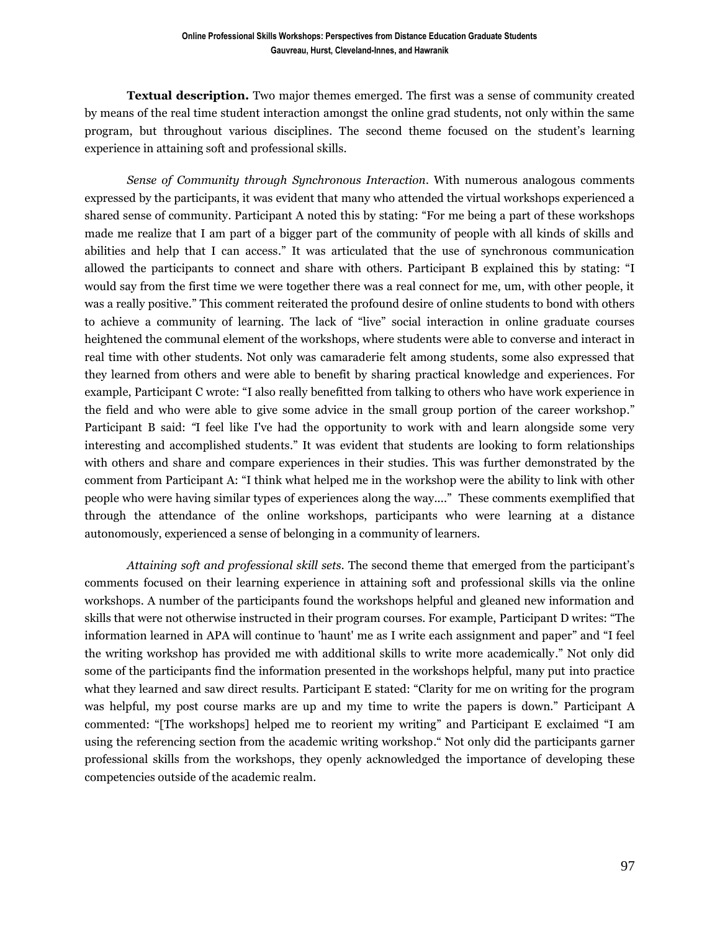**Textual description.** Two major themes emerged. The first was a sense of community created by means of the real time student interaction amongst the online grad students, not only within the same program, but throughout various disciplines. The second theme focused on the student's learning experience in attaining soft and professional skills.

*Sense of Community through Synchronous Interaction.* With numerous analogous comments expressed by the participants, it was evident that many who attended the virtual workshops experienced a shared sense of community. Participant A noted this by stating: "For me being a part of these workshops made me realize that I am part of a bigger part of the community of people with all kinds of skills and abilities and help that I can access." It was articulated that the use of synchronous communication allowed the participants to connect and share with others. Participant B explained this by stating: "I would say from the first time we were together there was a real connect for me, um, with other people, it was a really positive." This comment reiterated the profound desire of online students to bond with others to achieve a community of learning. The lack of "live" social interaction in online graduate courses heightened the communal element of the workshops, where students were able to converse and interact in real time with other students. Not only was camaraderie felt among students, some also expressed that they learned from others and were able to benefit by sharing practical knowledge and experiences. For example, Participant C wrote: "I also really benefitted from talking to others who have work experience in the field and who were able to give some advice in the small group portion of the career workshop." Participant B said: *"*I feel like I've had the opportunity to work with and learn alongside some very interesting and accomplished students." It was evident that students are looking to form relationships with others and share and compare experiences in their studies. This was further demonstrated by the comment from Participant A: "I think what helped me in the workshop were the ability to link with other people who were having similar types of experiences along the way...." These comments exemplified that through the attendance of the online workshops, participants who were learning at a distance autonomously, experienced a sense of belonging in a community of learners.

*Attaining soft and professional skill sets.* The second theme that emerged from the participant's comments focused on their learning experience in attaining soft and professional skills via the online workshops. A number of the participants found the workshops helpful and gleaned new information and skills that were not otherwise instructed in their program courses. For example, Participant D writes: "The information learned in APA will continue to 'haunt' me as I write each assignment and paper" and "I feel the writing workshop has provided me with additional skills to write more academically." Not only did some of the participants find the information presented in the workshops helpful, many put into practice what they learned and saw direct results. Participant E stated: "Clarity for me on writing for the program was helpful, my post course marks are up and my time to write the papers is down." Participant A commented: "[The workshops] helped me to reorient my writing" and Participant E exclaimed "I am using the referencing section from the academic writing workshop." Not only did the participants garner professional skills from the workshops, they openly acknowledged the importance of developing these competencies outside of the academic realm.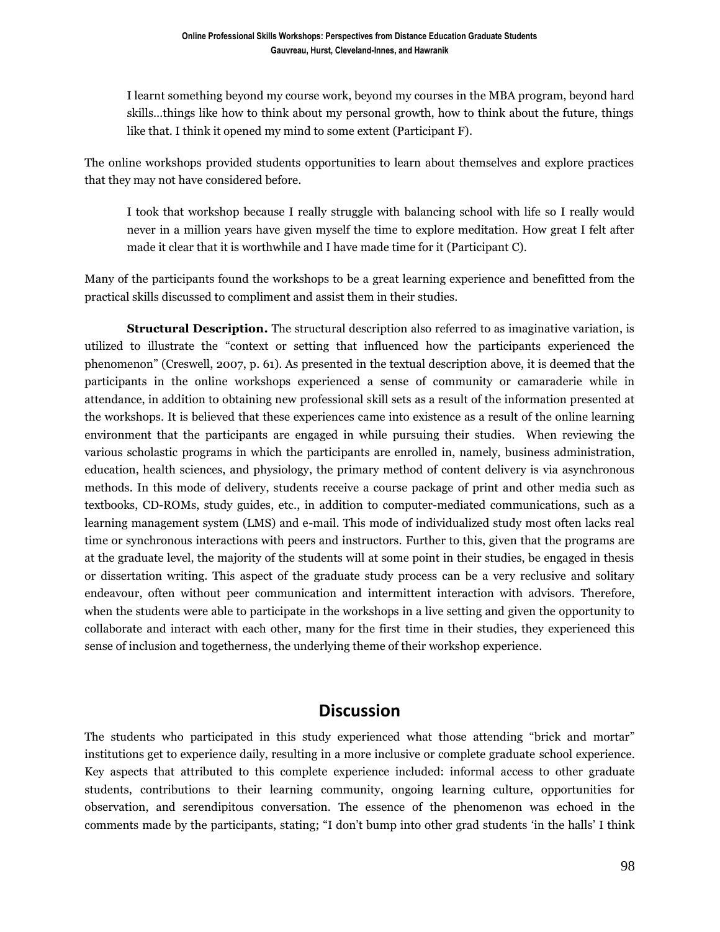I learnt something beyond my course work, beyond my courses in the MBA program, beyond hard skills…things like how to think about my personal growth, how to think about the future, things like that. I think it opened my mind to some extent (Participant F).

The online workshops provided students opportunities to learn about themselves and explore practices that they may not have considered before.

I took that workshop because I really struggle with balancing school with life so I really would never in a million years have given myself the time to explore meditation. How great I felt after made it clear that it is worthwhile and I have made time for it (Participant C).

Many of the participants found the workshops to be a great learning experience and benefitted from the practical skills discussed to compliment and assist them in their studies.

**Structural Description.** The structural description also referred to as imaginative variation, is utilized to illustrate the "context or setting that influenced how the participants experienced the phenomenon" (Creswell, 2007, p. 61). As presented in the textual description above, it is deemed that the participants in the online workshops experienced a sense of community or camaraderie while in attendance, in addition to obtaining new professional skill sets as a result of the information presented at the workshops. It is believed that these experiences came into existence as a result of the online learning environment that the participants are engaged in while pursuing their studies. When reviewing the various scholastic programs in which the participants are enrolled in, namely, business administration, education, health sciences, and physiology, the primary method of content delivery is via asynchronous methods. In this mode of delivery, students receive a course package of print and other media such as textbooks, CD-ROMs, study guides, etc., in addition to computer-mediated communications, such as a learning management system (LMS) and e-mail. This mode of individualized study most often lacks real time or synchronous interactions with peers and instructors. Further to this, given that the programs are at the graduate level, the majority of the students will at some point in their studies, be engaged in thesis or dissertation writing. This aspect of the graduate study process can be a very reclusive and solitary endeavour, often without peer communication and intermittent interaction with advisors. Therefore, when the students were able to participate in the workshops in a live setting and given the opportunity to collaborate and interact with each other, many for the first time in their studies, they experienced this sense of inclusion and togetherness, the underlying theme of their workshop experience.

### **Discussion**

The students who participated in this study experienced what those attending "brick and mortar" institutions get to experience daily, resulting in a more inclusive or complete graduate school experience. Key aspects that attributed to this complete experience included: informal access to other graduate students, contributions to their learning community, ongoing learning culture, opportunities for observation, and serendipitous conversation. The essence of the phenomenon was echoed in the comments made by the participants, stating; "I don't bump into other grad students 'in the halls' I think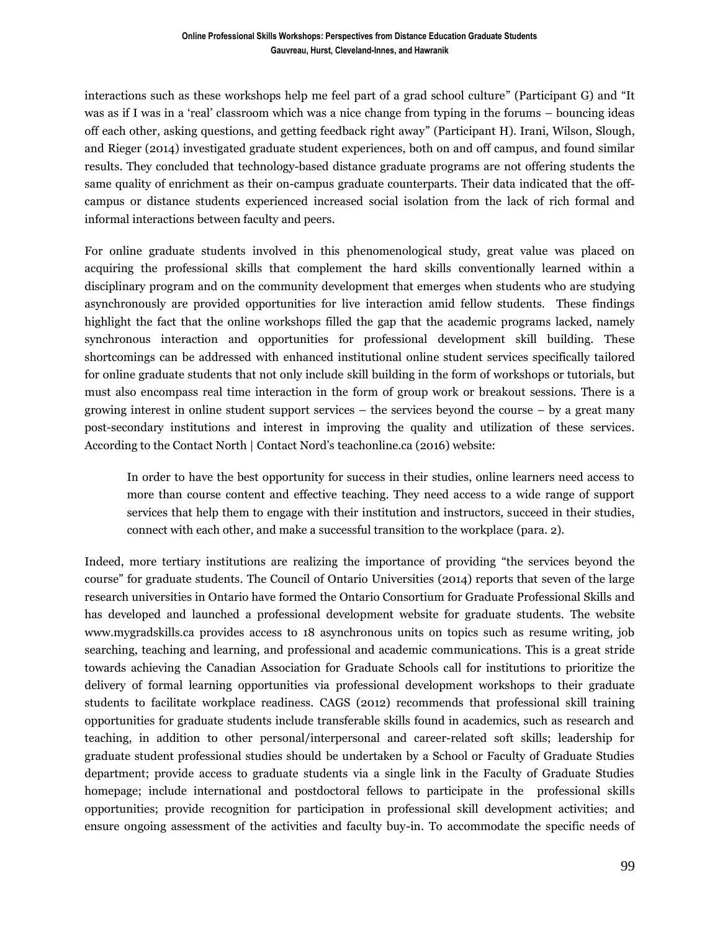interactions such as these workshops help me feel part of a grad school culture" (Participant G) and "It was as if I was in a 'real' classroom which was a nice change from typing in the forums – bouncing ideas off each other, asking questions, and getting feedback right away" (Participant H). Irani, Wilson, Slough, and Rieger (2014) investigated graduate student experiences, both on and off campus, and found similar results. They concluded that technology-based distance graduate programs are not offering students the same quality of enrichment as their on-campus graduate counterparts. Their data indicated that the offcampus or distance students experienced increased social isolation from the lack of rich formal and informal interactions between faculty and peers.

For online graduate students involved in this phenomenological study, great value was placed on acquiring the professional skills that complement the hard skills conventionally learned within a disciplinary program and on the community development that emerges when students who are studying asynchronously are provided opportunities for live interaction amid fellow students. These findings highlight the fact that the online workshops filled the gap that the academic programs lacked, namely synchronous interaction and opportunities for professional development skill building. These shortcomings can be addressed with enhanced institutional online student services specifically tailored for online graduate students that not only include skill building in the form of workshops or tutorials, but must also encompass real time interaction in the form of group work or breakout sessions. There is a growing interest in online student support services – the services beyond the course – by a great many post-secondary institutions and interest in improving the quality and utilization of these services. According to the Contact North | Contact Nord's teachonline.ca (2016) website:

In order to have the best opportunity for success in their studies, online learners need access to more than course content and effective teaching. They need access to a wide range of support services that help them to engage with their institution and instructors, succeed in their studies, connect with each other, and make a successful transition to the workplace (para. 2).

Indeed, more tertiary institutions are realizing the importance of providing "the services beyond the course" for graduate students. The Council of Ontario Universities (2014) reports that seven of the large research universities in Ontario have formed the Ontario Consortium for Graduate Professional Skills and has developed and launched a professional development website for graduate students. The website www.mygradskills.ca provides access to 18 asynchronous units on topics such as resume writing, job searching, teaching and learning, and professional and academic communications. This is a great stride towards achieving the Canadian Association for Graduate Schools call for institutions to prioritize the delivery of formal learning opportunities via professional development workshops to their graduate students to facilitate workplace readiness. CAGS (2012) recommends that professional skill training opportunities for graduate students include transferable skills found in academics, such as research and teaching, in addition to other personal/interpersonal and career-related soft skills; leadership for graduate student professional studies should be undertaken by a School or Faculty of Graduate Studies department; provide access to graduate students via a single link in the Faculty of Graduate Studies homepage; include international and postdoctoral fellows to participate in the professional skills opportunities; provide recognition for participation in professional skill development activities; and ensure ongoing assessment of the activities and faculty buy-in. To accommodate the specific needs of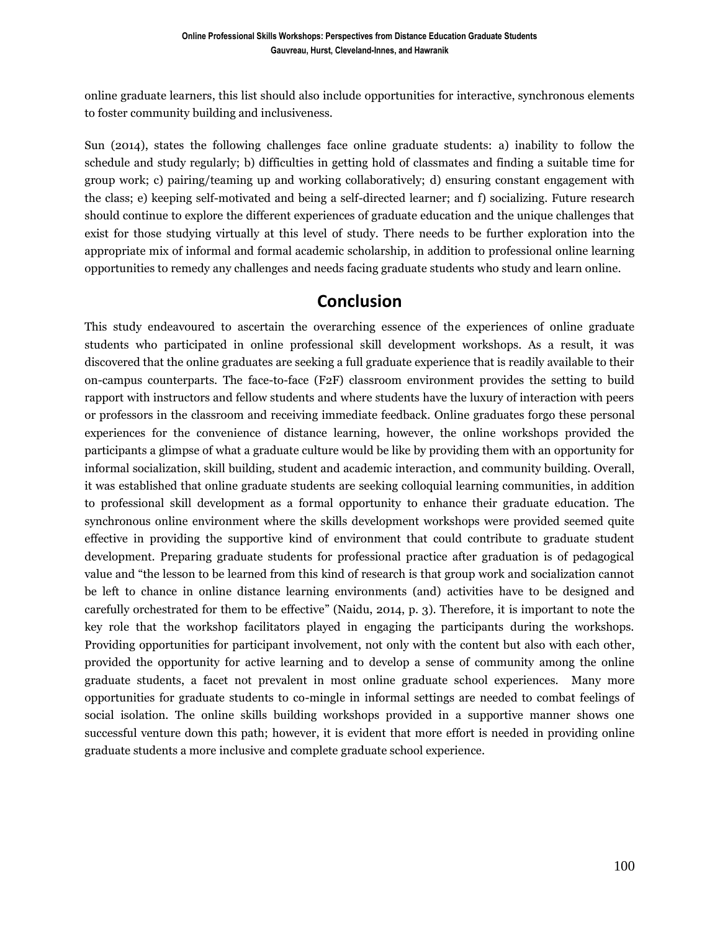online graduate learners, this list should also include opportunities for interactive, synchronous elements to foster community building and inclusiveness.

Sun (2014), states the following challenges face online graduate students: a) inability to follow the schedule and study regularly; b) difficulties in getting hold of classmates and finding a suitable time for group work; c) pairing/teaming up and working collaboratively; d) ensuring constant engagement with the class; e) keeping self-motivated and being a self-directed learner; and f) socializing. Future research should continue to explore the different experiences of graduate education and the unique challenges that exist for those studying virtually at this level of study. There needs to be further exploration into the appropriate mix of informal and formal academic scholarship, in addition to professional online learning opportunities to remedy any challenges and needs facing graduate students who study and learn online.

## **Conclusion**

This study endeavoured to ascertain the overarching essence of the experiences of online graduate students who participated in online professional skill development workshops. As a result, it was discovered that the online graduates are seeking a full graduate experience that is readily available to their on-campus counterparts. The face-to-face (F2F) classroom environment provides the setting to build rapport with instructors and fellow students and where students have the luxury of interaction with peers or professors in the classroom and receiving immediate feedback. Online graduates forgo these personal experiences for the convenience of distance learning, however, the online workshops provided the participants a glimpse of what a graduate culture would be like by providing them with an opportunity for informal socialization, skill building, student and academic interaction, and community building. Overall, it was established that online graduate students are seeking colloquial learning communities, in addition to professional skill development as a formal opportunity to enhance their graduate education. The synchronous online environment where the skills development workshops were provided seemed quite effective in providing the supportive kind of environment that could contribute to graduate student development. Preparing graduate students for professional practice after graduation is of pedagogical value and "the lesson to be learned from this kind of research is that group work and socialization cannot be left to chance in online distance learning environments (and) activities have to be designed and carefully orchestrated for them to be effective" (Naidu, 2014, p. 3). Therefore, it is important to note the key role that the workshop facilitators played in engaging the participants during the workshops. Providing opportunities for participant involvement, not only with the content but also with each other, provided the opportunity for active learning and to develop a sense of community among the online graduate students, a facet not prevalent in most online graduate school experiences. Many more opportunities for graduate students to co-mingle in informal settings are needed to combat feelings of social isolation. The online skills building workshops provided in a supportive manner shows one successful venture down this path; however, it is evident that more effort is needed in providing online graduate students a more inclusive and complete graduate school experience.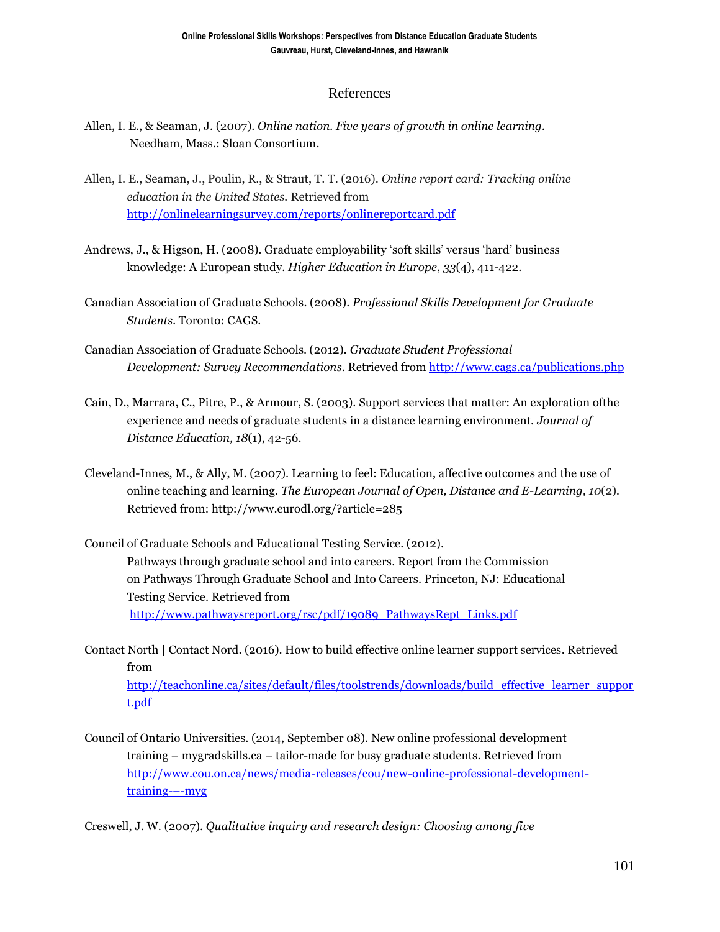#### References

- Allen, I. E., & Seaman, J. (2007). *Online nation. Five years of growth in online learning.* Needham, Mass.: Sloan Consortium.
- Allen, I. E., Seaman, J., Poulin, R., & Straut, T. T. (2016). *Online report card: Tracking online education in the United States.* Retrieved from <http://onlinelearningsurvey.com/reports/onlinereportcard.pdf>
- Andrews, J., & Higson, H. (2008). Graduate employability 'soft skills' versus 'hard' business knowledge: A European study. *Higher Education in Europe*, *33*(4), 411-422.
- Canadian Association of Graduate Schools. (2008). *Professional Skills Development for Graduate Students.* Toronto: CAGS.
- Canadian Association of Graduate Schools. (2012). *Graduate Student Professional Development: Survey Recommendations.* Retrieved from <http://www.cags.ca/publications.php>
- Cain, D., Marrara, C., Pitre, P., & Armour, S. (2003). Support services that matter: An exploration ofthe experience and needs of graduate students in a distance learning environment. *Journal of Distance Education, 18*(1), 42-56.
- Cleveland-Innes, M., & Ally, M. (2007). Learning to feel: Education, affective outcomes and the use of online teaching and learning. *The European Journal of Open, Distance and E-Learning, 10*(2)*.*  Retrieved from: http://www.eurodl.org/?article=285
- Council of Graduate Schools and Educational Testing Service. (2012). Pathways through graduate school and into careers. Report from the Commission on Pathways Through Graduate School and Into Careers. Princeton, NJ: Educational Testing Service. Retrieved from [http://www.pathwaysreport.org/rsc/pdf/19089\\_PathwaysRept\\_Links.pdf](http://www.pathwaysreport.org/rsc/pdf/19089_PathwaysRept_Links.pdf)
- Contact North | Contact Nord. (2016). How to build effective online learner support services. Retrieved from [http://teachonline.ca/sites/default/files/toolstrends/downloads/build\\_effective\\_learner\\_suppor](http://teachonline.ca/sites/default/files/toolstrends/downloads/build_effective_learner_support.pdf) [t.pdf](http://teachonline.ca/sites/default/files/toolstrends/downloads/build_effective_learner_support.pdf)
- Council of Ontario Universities. (2014, September 08). New online professional development training – mygradskills.ca – tailor-made for busy graduate students. Retrieved from [http://www.cou.on.ca/news/media-releases/cou/new-online-professional-development](http://www.cou.on.ca/news/media-releases/cou/new-online-professional-development-training-–-myg)[training-](http://www.cou.on.ca/news/media-releases/cou/new-online-professional-development-training-–-myg)–-myg

Creswell, J. W. (2007). *Qualitative inquiry and research design: Choosing among five*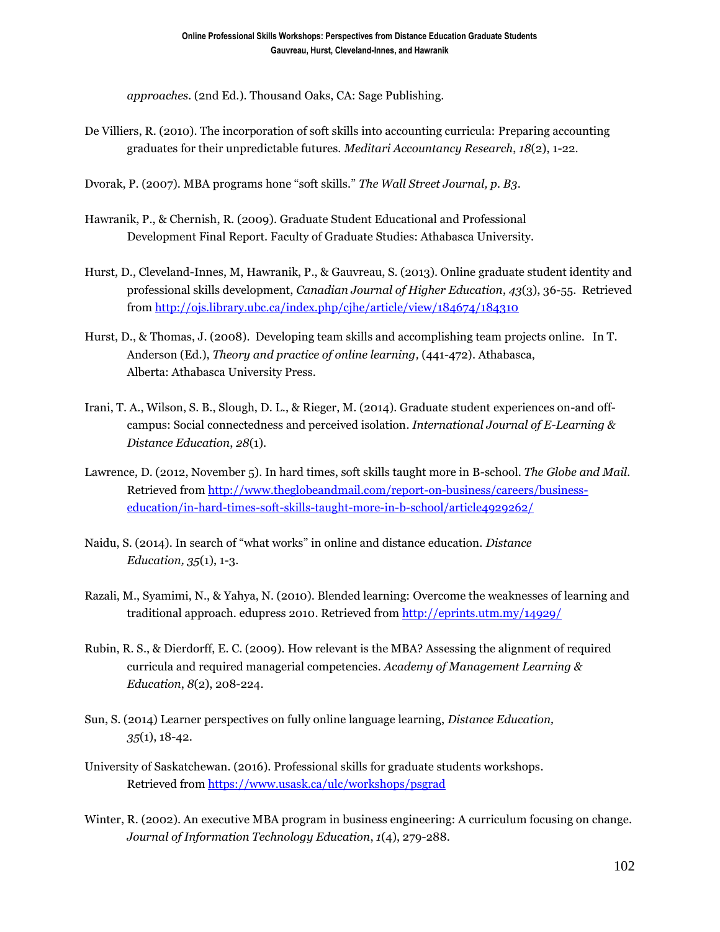*approaches.* (2nd Ed.). Thousand Oaks, CA: Sage Publishing.

- De Villiers, R. (2010). The incorporation of soft skills into accounting curricula: Preparing accounting graduates for their unpredictable futures. *Meditari Accountancy Research*, *18*(2), 1-22.
- Dvorak, P. (2007). MBA programs hone "soft skills." *The Wall Street Journal, p. B3*.
- Hawranik, P., & Chernish, R. (2009). Graduate Student Educational and Professional Development Final Report. Faculty of Graduate Studies: Athabasca University.
- Hurst, D., Cleveland-Innes, M, Hawranik, P., & Gauvreau, S. (2013). Online graduate student identity and professional skills development, *Canadian Journal of Higher Education*, *43*(3), 36-55. Retrieved from<http://ojs.library.ubc.ca/index.php/cjhe/article/view/184674/184310>
- Hurst, D., & Thomas, J. (2008). Developing team skills and accomplishing team projects online. In T. Anderson (Ed.), *Theory and practice of online learning,* (441-472). Athabasca, Alberta: Athabasca University Press.
- Irani, T. A., Wilson, S. B., Slough, D. L., & Rieger, M. (2014). Graduate student experiences on-and offcampus: Social connectedness and perceived isolation. *International Journal of E-Learning & Distance Education*, *28*(1).
- Lawrence, D. (2012, November 5). In hard times, soft skills taught more in B-school. *The Globe and Mail.* Retrieved from [http://www.theglobeandmail.com/report-on-business/careers/business](http://www.theglobeandmail.com/report-on-business/careers/business-education/in-hard-times-soft-skills-taught-more-in-b-school/article4929262/)[education/in-hard-times-soft-skills-taught-more-in-b-school/article4929262/](http://www.theglobeandmail.com/report-on-business/careers/business-education/in-hard-times-soft-skills-taught-more-in-b-school/article4929262/)
- Naidu, S. (2014). In search of "what works" in online and distance education. *Distance Education, 35*(1), 1-3.
- Razali, M., Syamimi, N., & Yahya, N. (2010). Blended learning: Overcome the weaknesses of learning and traditional approach. edupress 2010. Retrieved from <http://eprints.utm.my/14929/>
- Rubin, R. S., & Dierdorff, E. C. (2009). How relevant is the MBA? Assessing the alignment of required curricula and required managerial competencies. *Academy of Management Learning & Education*, *8*(2), 208-224.
- Sun, S. (2014) Learner perspectives on fully online language learning, *Distance Education, 35*(1), 18-42.
- University of Saskatchewan. (2016). Professional skills for graduate students workshops. Retrieved from <https://www.usask.ca/ulc/workshops/psgrad>
- Winter, R. (2002). An executive MBA program in business engineering: A curriculum focusing on change. *Journal of Information Technology Education*, *1*(4), 279-288.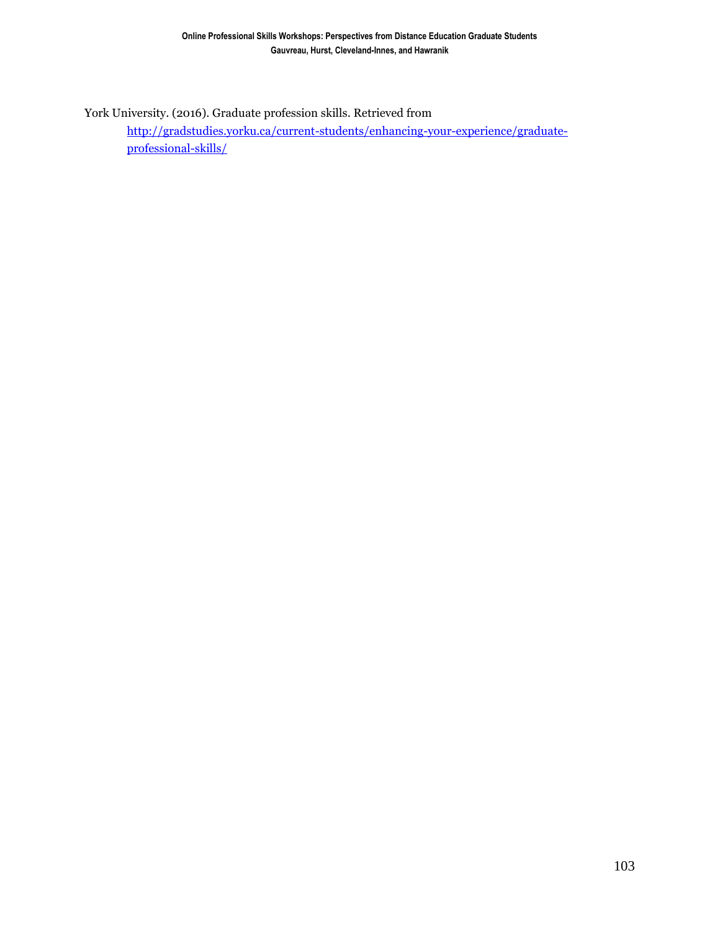York University. (2016). Graduate profession skills. Retrieved from

[http://gradstudies.yorku.ca/current-students/enhancing-your-experience/graduate](http://gradstudies.yorku.ca/current-students/enhancing-your-experience/graduate-)[professional-skills/](http://gradstudies.yorku.ca/current-students/enhancing-your-experience/graduate-)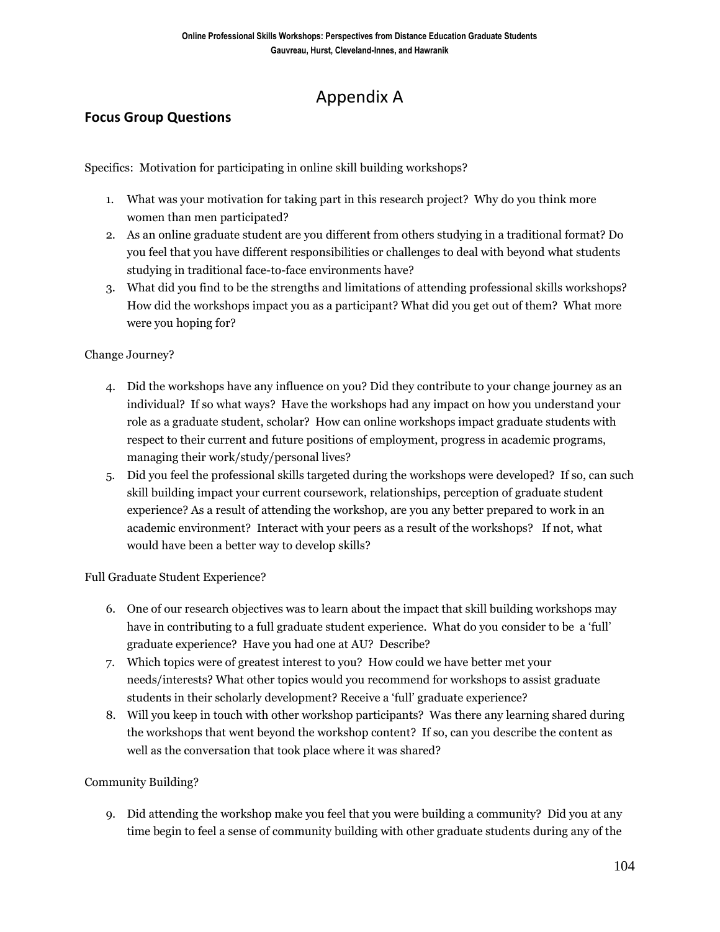## Appendix A

#### **Focus Group Questions**

Specifics: Motivation for participating in online skill building workshops?

- 1. What was your motivation for taking part in this research project? Why do you think more women than men participated?
- 2. As an online graduate student are you different from others studying in a traditional format? Do you feel that you have different responsibilities or challenges to deal with beyond what students studying in traditional face-to-face environments have?
- 3. What did you find to be the strengths and limitations of attending professional skills workshops? How did the workshops impact you as a participant? What did you get out of them? What more were you hoping for?

#### Change Journey?

- 4. Did the workshops have any influence on you? Did they contribute to your change journey as an individual? If so what ways? Have the workshops had any impact on how you understand your role as a graduate student, scholar? How can online workshops impact graduate students with respect to their current and future positions of employment, progress in academic programs, managing their work/study/personal lives?
- 5. Did you feel the professional skills targeted during the workshops were developed? If so, can such skill building impact your current coursework, relationships, perception of graduate student experience? As a result of attending the workshop, are you any better prepared to work in an academic environment? Interact with your peers as a result of the workshops? If not, what would have been a better way to develop skills?

#### Full Graduate Student Experience?

- 6. One of our research objectives was to learn about the impact that skill building workshops may have in contributing to a full graduate student experience. What do you consider to be a 'full' graduate experience? Have you had one at AU? Describe?
- 7. Which topics were of greatest interest to you? How could we have better met your needs/interests? What other topics would you recommend for workshops to assist graduate students in their scholarly development? Receive a 'full' graduate experience?
- 8. Will you keep in touch with other workshop participants? Was there any learning shared during the workshops that went beyond the workshop content? If so, can you describe the content as well as the conversation that took place where it was shared?

#### Community Building?

9. Did attending the workshop make you feel that you were building a community? Did you at any time begin to feel a sense of community building with other graduate students during any of the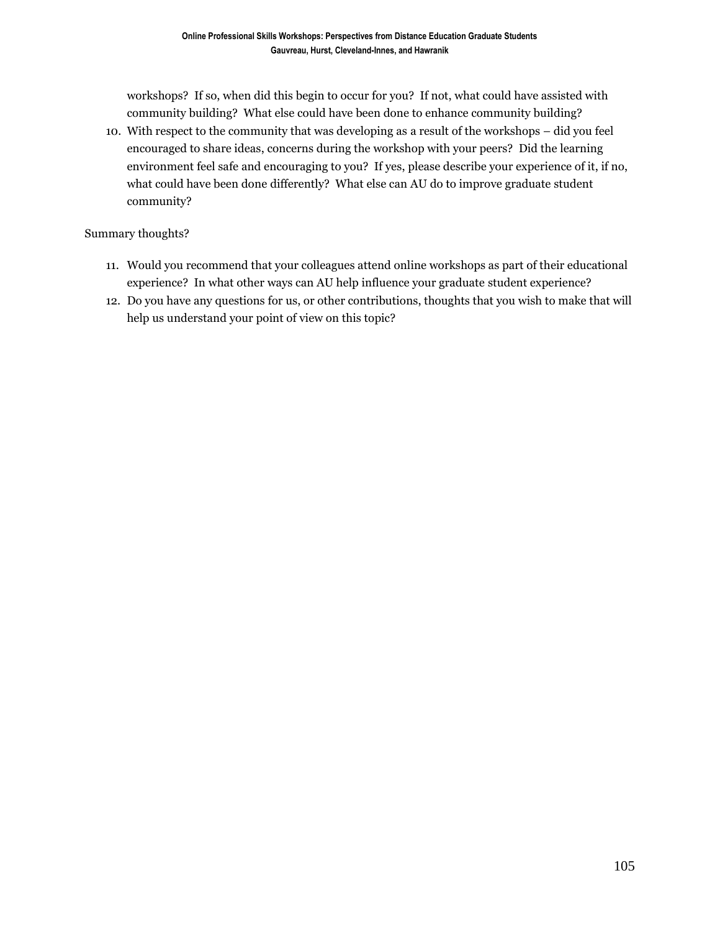workshops? If so, when did this begin to occur for you? If not, what could have assisted with community building? What else could have been done to enhance community building?

10. With respect to the community that was developing as a result of the workshops – did you feel encouraged to share ideas, concerns during the workshop with your peers? Did the learning environment feel safe and encouraging to you? If yes, please describe your experience of it, if no, what could have been done differently? What else can AU do to improve graduate student community?

#### Summary thoughts?

- 11. Would you recommend that your colleagues attend online workshops as part of their educational experience? In what other ways can AU help influence your graduate student experience?
- 12. Do you have any questions for us, or other contributions, thoughts that you wish to make that will help us understand your point of view on this topic?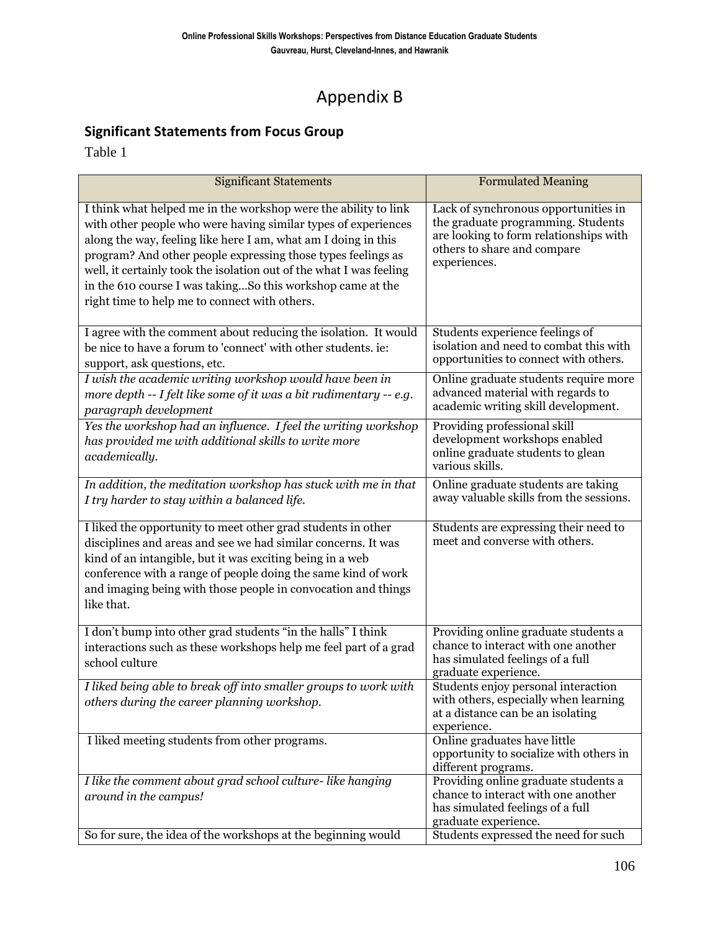## Appendix B

## **Significant Statements from Focus Group**

Table 1

| <b>Significant Statements</b>                                                                                                                                                                                                                                                                                                                                                                                                                             | <b>Formulated Meaning</b>                                                                                                                                           |
|-----------------------------------------------------------------------------------------------------------------------------------------------------------------------------------------------------------------------------------------------------------------------------------------------------------------------------------------------------------------------------------------------------------------------------------------------------------|---------------------------------------------------------------------------------------------------------------------------------------------------------------------|
| I think what helped me in the workshop were the ability to link<br>with other people who were having similar types of experiences<br>along the way, feeling like here I am, what am I doing in this<br>program? And other people expressing those types feelings as<br>well, it certainly took the isolation out of the what I was feeling<br>in the 610 course I was takingSo this workshop came at the<br>right time to help me to connect with others. | Lack of synchronous opportunities in<br>the graduate programming. Students<br>are looking to form relationships with<br>others to share and compare<br>experiences. |
| I agree with the comment about reducing the isolation. It would<br>be nice to have a forum to 'connect' with other students. ie:<br>support, ask questions, etc.                                                                                                                                                                                                                                                                                          | Students experience feelings of<br>isolation and need to combat this with<br>opportunities to connect with others.                                                  |
| I wish the academic writing workshop would have been in<br>more depth -- I felt like some of it was a bit rudimentary -- e.g.<br>paragraph development                                                                                                                                                                                                                                                                                                    | Online graduate students require more<br>advanced material with regards to<br>academic writing skill development.                                                   |
| Yes the workshop had an influence. I feel the writing workshop<br>has provided me with additional skills to write more<br>academically.                                                                                                                                                                                                                                                                                                                   | Providing professional skill<br>development workshops enabled<br>online graduate students to glean<br>various skills.                                               |
| In addition, the meditation workshop has stuck with me in that<br>I try harder to stay within a balanced life.                                                                                                                                                                                                                                                                                                                                            | Online graduate students are taking<br>away valuable skills from the sessions.                                                                                      |
| I liked the opportunity to meet other grad students in other<br>disciplines and areas and see we had similar concerns. It was<br>kind of an intangible, but it was exciting being in a web<br>conference with a range of people doing the same kind of work<br>and imaging being with those people in convocation and things<br>like that.                                                                                                                | Students are expressing their need to<br>meet and converse with others.                                                                                             |
| I don't bump into other grad students "in the halls" I think<br>interactions such as these workshops help me feel part of a grad<br>school culture                                                                                                                                                                                                                                                                                                        | Providing online graduate students a<br>chance to interact with one another<br>has simulated feelings of a full<br>graduate experience.                             |
| I liked being able to break off into smaller groups to work with<br>others during the career planning workshop.                                                                                                                                                                                                                                                                                                                                           | Students enjoy personal interaction<br>with others, especially when learning<br>at a distance can be an isolating<br>experience.                                    |
| I liked meeting students from other programs.                                                                                                                                                                                                                                                                                                                                                                                                             | Online graduates have little<br>opportunity to socialize with others in<br>different programs.                                                                      |
| I like the comment about grad school culture-like hanging<br>around in the campus!                                                                                                                                                                                                                                                                                                                                                                        | Providing online graduate students a<br>chance to interact with one another<br>has simulated feelings of a full<br>graduate experience.                             |
| So for sure, the idea of the workshops at the beginning would                                                                                                                                                                                                                                                                                                                                                                                             | Students expressed the need for such                                                                                                                                |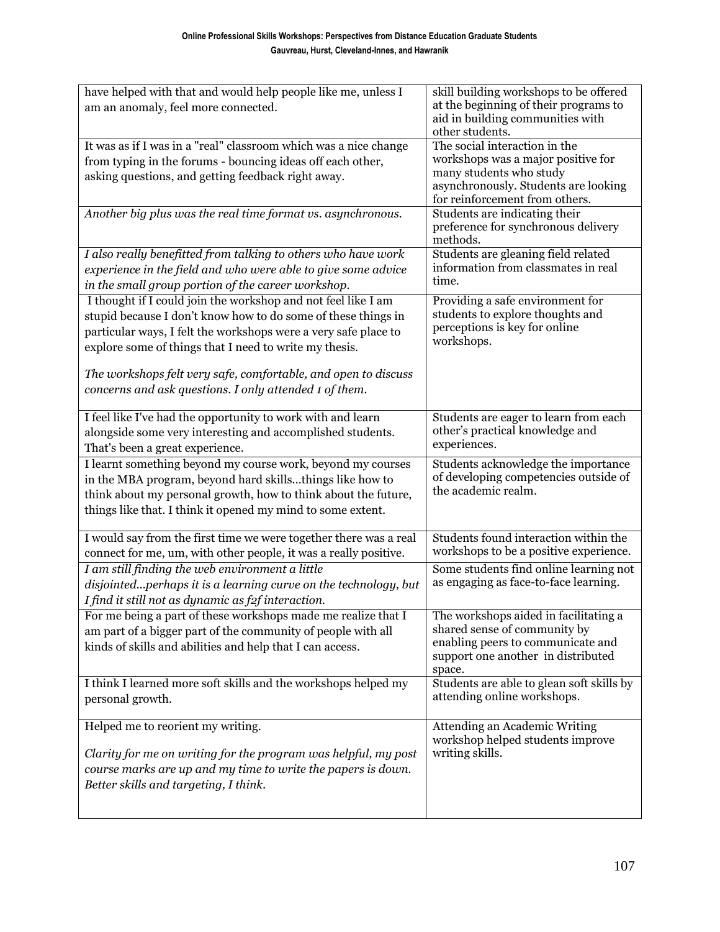| have helped with that and would help people like me, unless I                                                         | skill building workshops to be offered                                          |
|-----------------------------------------------------------------------------------------------------------------------|---------------------------------------------------------------------------------|
| am an anomaly, feel more connected.                                                                                   | at the beginning of their programs to                                           |
|                                                                                                                       | aid in building communities with<br>other students.                             |
| It was as if I was in a "real" classroom which was a nice change                                                      | The social interaction in the                                                   |
| from typing in the forums - bouncing ideas off each other,                                                            | workshops was a major positive for                                              |
| asking questions, and getting feedback right away.                                                                    | many students who study                                                         |
|                                                                                                                       | asynchronously. Students are looking                                            |
|                                                                                                                       | for reinforcement from others.                                                  |
| Another big plus was the real time format vs. asynchronous.                                                           | Students are indicating their                                                   |
|                                                                                                                       | preference for synchronous delivery<br>methods.                                 |
| I also really benefitted from talking to others who have work                                                         | Students are gleaning field related                                             |
| experience in the field and who were able to give some advice                                                         | information from classmates in real                                             |
| in the small group portion of the career workshop.                                                                    | time.                                                                           |
| I thought if I could join the workshop and not feel like I am                                                         | Providing a safe environment for                                                |
| stupid because I don't know how to do some of these things in                                                         | students to explore thoughts and                                                |
| particular ways, I felt the workshops were a very safe place to                                                       | perceptions is key for online                                                   |
| explore some of things that I need to write my thesis.                                                                | workshops.                                                                      |
|                                                                                                                       |                                                                                 |
| The workshops felt very safe, comfortable, and open to discuss                                                        |                                                                                 |
| concerns and ask questions. I only attended 1 of them.                                                                |                                                                                 |
| I feel like I've had the opportunity to work with and learn                                                           | Students are eager to learn from each                                           |
| alongside some very interesting and accomplished students.                                                            | other's practical knowledge and                                                 |
| That's been a great experience.                                                                                       | experiences.                                                                    |
| I learnt something beyond my course work, beyond my courses                                                           | Students acknowledge the importance                                             |
| in the MBA program, beyond hard skillsthings like how to                                                              | of developing competencies outside of                                           |
| think about my personal growth, how to think about the future,                                                        | the academic realm.                                                             |
| things like that. I think it opened my mind to some extent.                                                           |                                                                                 |
|                                                                                                                       |                                                                                 |
| I would say from the first time we were together there was a real                                                     | Students found interaction within the<br>workshops to be a positive experience. |
| connect for me, um, with other people, it was a really positive.                                                      |                                                                                 |
| I am still finding the web environment a little                                                                       | Some students find online learning not<br>as engaging as face-to-face learning. |
| disjointedperhaps it is a learning curve on the technology, but<br>I find it still not as dynamic as f2f interaction. |                                                                                 |
| For me being a part of these workshops made me realize that I                                                         | The workshops aided in facilitating a                                           |
| am part of a bigger part of the community of people with all                                                          | shared sense of community by                                                    |
| kinds of skills and abilities and help that I can access.                                                             | enabling peers to communicate and                                               |
|                                                                                                                       | support one another in distributed                                              |
|                                                                                                                       | space.                                                                          |
| I think I learned more soft skills and the workshops helped my                                                        | Students are able to glean soft skills by<br>attending online workshops.        |
| personal growth.                                                                                                      |                                                                                 |
| Helped me to reorient my writing.                                                                                     | <b>Attending an Academic Writing</b>                                            |
|                                                                                                                       | workshop helped students improve                                                |
| Clarity for me on writing for the program was helpful, my post                                                        | writing skills.                                                                 |
| course marks are up and my time to write the papers is down.                                                          |                                                                                 |
| Better skills and targeting, I think.                                                                                 |                                                                                 |
|                                                                                                                       |                                                                                 |